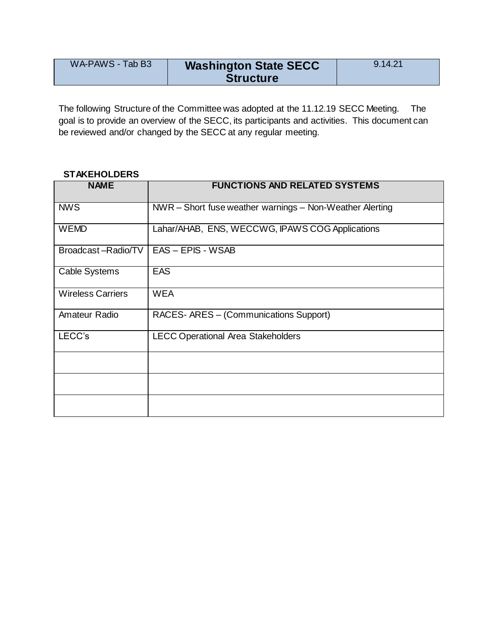| WA-PAWS - Tab B3 | <b>Washington State SECC</b> | 9.14.21 |
|------------------|------------------------------|---------|
|                  | <b>Structure</b>             |         |

The following Structure of the Committee was adopted at the 11.12.19 SECC Meeting. The goal is to provide an overview of the SECC, its participants and activities. This document can be reviewed and/or changed by the SECC at any regular meeting.

## **STAKEHOLDERS**

| <b>NAME</b>              | <b>FUNCTIONS AND RELATED SYSTEMS</b>                     |
|--------------------------|----------------------------------------------------------|
| <b>NWS</b>               | NWR - Short fuse weather warnings - Non-Weather Alerting |
| <b>WEMD</b>              | Lahar/AHAB, ENS, WECCWG, IPAWS COG Applications          |
| Broadcast-Radio/TV       | EAS - EPIS - WSAB                                        |
| <b>Cable Systems</b>     | <b>EAS</b>                                               |
| <b>Wireless Carriers</b> | <b>WEA</b>                                               |
| Amateur Radio            | RACES- ARES - (Communications Support)                   |
| LECC's                   | <b>LECC Operational Area Stakeholders</b>                |
|                          |                                                          |
|                          |                                                          |
|                          |                                                          |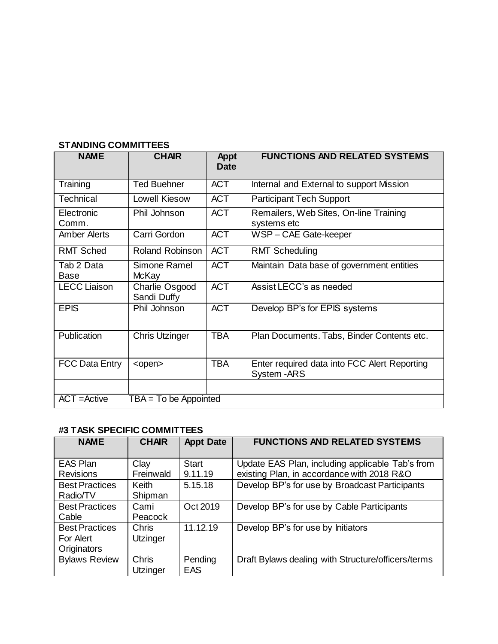| <b>NAME</b>                               | <b>CHAIR</b>                  | <b>Appt</b><br>Date | <b>FUNCTIONS AND RELATED SYSTEMS</b>                         |  |  |
|-------------------------------------------|-------------------------------|---------------------|--------------------------------------------------------------|--|--|
| Training                                  | <b>Ted Buehner</b>            | <b>ACT</b>          | Internal and External to support Mission                     |  |  |
| <b>Technical</b>                          | Lowell Kiesow                 | <b>ACT</b>          | <b>Participant Tech Support</b>                              |  |  |
| Electronic<br>Comm.                       | Phil Johnson                  | <b>ACT</b>          | Remailers, Web Sites, On-line Training<br>systems etc        |  |  |
| <b>Amber Alerts</b>                       | Carri Gordon                  | <b>ACT</b>          | WSP-CAE Gate-keeper                                          |  |  |
| <b>RMT Sched</b>                          | <b>Roland Robinson</b>        | <b>ACT</b>          | <b>RMT Scheduling</b>                                        |  |  |
| Tab 2 Data<br><b>Base</b>                 | Simone Ramel<br>McKay         | <b>ACT</b>          | Maintain Data base of government entities                    |  |  |
| <b>LECC Liaison</b>                       | Charlie Osgood<br>Sandi Duffy | <b>ACT</b>          | Assist LECC's as needed                                      |  |  |
| <b>EPIS</b>                               | Phil Johnson                  | <b>ACT</b>          | Develop BP's for EPIS systems                                |  |  |
| Publication                               | <b>Chris Utzinger</b>         | <b>TBA</b>          | Plan Documents. Tabs, Binder Contents etc.                   |  |  |
| <b>FCC Data Entry</b>                     | <open></open>                 | <b>TBA</b>          | Enter required data into FCC Alert Reporting<br>System - ARS |  |  |
|                                           |                               |                     |                                                              |  |  |
| $ACT = Active$<br>$TBA = To be Appointed$ |                               |                     |                                                              |  |  |

## **STANDING COMMITTEES**

## **#3 TASK SPECIFIC COMMITTEES**

| <b>NAME</b>                                       | <b>CHAIR</b>             | <b>Appt Date</b>        | <b>FUNCTIONS AND RELATED SYSTEMS</b>                                                           |
|---------------------------------------------------|--------------------------|-------------------------|------------------------------------------------------------------------------------------------|
| <b>EAS Plan</b><br><b>Revisions</b>               | Clay<br>Freinwald        | <b>Start</b><br>9.11.19 | Update EAS Plan, including applicable Tab's from<br>existing Plan, in accordance with 2018 R&O |
| <b>Best Practices</b><br>Radio/TV                 | <b>Keith</b><br>Shipman  | 5.15.18                 | Develop BP's for use by Broadcast Participants                                                 |
| <b>Best Practices</b><br>Cable                    | Cami<br>Peacock          | Oct 2019                | Develop BP's for use by Cable Participants                                                     |
| <b>Best Practices</b><br>For Alert<br>Originators | Chris<br>Utzinger        | 11.12.19                | Develop BP's for use by Initiators                                                             |
| <b>Bylaws Review</b>                              | <b>Chris</b><br>Utzinger | Pending<br><b>EAS</b>   | Draft Bylaws dealing with Structure/officers/terms                                             |